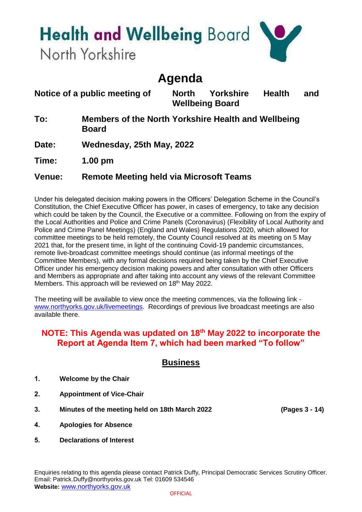# **Health and Wellbeing Board**

North Yorkshire

## **Agenda**

**Notice of a public meeting of North Yorkshire Health and Wellbeing Board**

**To: Members of the North Yorkshire Health and Wellbeing Board**

**Date: Wednesday, 25th May, 2022**

**Time: 1.00 pm**

#### **Venue: Remote Meeting held via Microsoft Teams**

Under his delegated decision making powers in the Officers' Delegation Scheme in the Council's Constitution, the Chief Executive Officer has power, in cases of emergency, to take any decision which could be taken by the Council, the Executive or a committee. Following on from the expiry of the Local Authorities and Police and Crime Panels (Coronavirus) (Flexibility of Local Authority and Police and Crime Panel Meetings) (England and Wales) Regulations 2020, which allowed for committee meetings to be held remotely, the County Council resolved at its meeting on 5 May 2021 that, for the present time, in light of the continuing Covid-19 pandemic circumstances, remote live-broadcast committee meetings should continue (as informal meetings of the Committee Members), with any formal decisions required being taken by the Chief Executive Officer under his emergency decision making powers and after consultation with other Officers and Members as appropriate and after taking into account any views of the relevant Committee Members. This approach will be reviewed on 18<sup>th</sup> May 2022.

The meeting will be available to view once the meeting commences, via the following link [www.northyorks.gov.uk/livemeetings.](http://www.northyorks.gov.uk/livemeetings) Recordings of previous live broadcast meetings are also available there.

#### **NOTE: This Agenda was updated on 18th May 2022 to incorporate the Report at Agenda Item 7, which had been marked "To follow"**

### **Business**

- **1. Welcome by the Chair**
- **2. Appointment of Vice-Chair**
- **3. Minutes of the meeting held on 18th March 2022 (Pages 3 - 14)**
	-

- **4. Apologies for Absence**
- **5. Declarations of Interest**